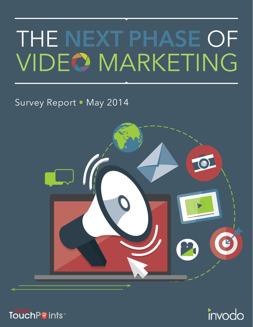# THE NEXT PHASE OF **VIDEO MARKETING**

# Survey Report • May 2014





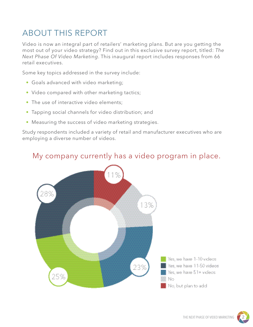# ABOUT THIS REPORT

Video is now an integral part of retailers' marketing plans. But are you getting the most out of your video strategy? Find out in this exclusive survey report, titled: *The Next Phase Of Video Marketing*. This inaugural report includes responses from 66 retail executives.

Some key topics addressed in the survey include:

- Goals advanced with video marketing;
- Video compared with other marketing tactics;
- The use of interactive video elements:
- Tapping social channels for video distribution; and
- Measuring the success of video marketing strategies.

Study respondents included a variety of retail and manufacturer executives who are employing a diverse number of videos.



#### My company currently has a video program in place.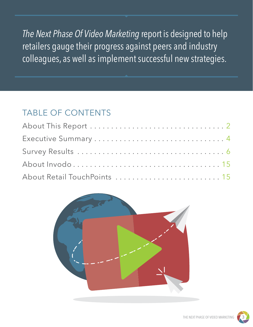*The Next Phase Of Video Marketing* report is designed to help retailers gauge their progress against peers and industry colleagues, as well as implement successful new strategies.

# TABLE OF CONTENTS

| About Retail TouchPoints  15 |  |
|------------------------------|--|



THE NEXT PHASE OF VIDEO MARKETI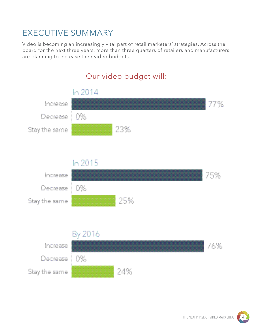### EXECUTIVE SUMMARY

Video is becoming an increasingly vital part of retail marketers' strategies. Across the board for the next three years, more than three quarters of retailers and manufacturers are planning to increase their video budgets.

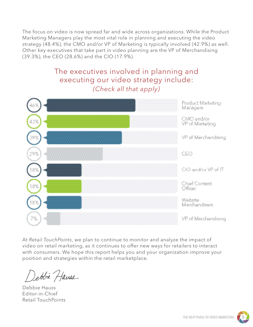The focus on video is now spread far and wide across organizations. While the Product Marketing Managers play the most vital role in planning and executing the video strategy (48.4%), the CMO and/or VP of Marketing is typically involved (42.9%) as well. Other key executives that take part in video planning are the VP of Merchandising (39.3%), the CEO (28.6%) and the CIO (17.9%).

#### The executives involved in planning and executing our video strategy include: *(Check all that apply)*



At *Retail TouchPoints*, we plan to continue to monitor and analyze the impact of video on retail marketing, as it continues to offer new ways for retailers to interact with consumers. We hope this report helps you and your organization improve your position and strategies within the retail marketplace.

Debbie Hauss

Debbie Hauss Editor-in-Chief Retail TouchPoints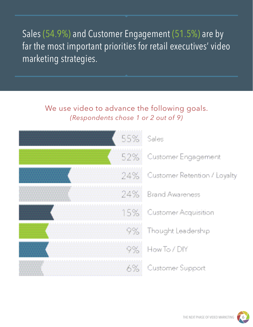Sales (54.9%) and Customer Engagement (51.5%) are by far the most important priorities for retail executives' video marketing strategies.

#### We use video to advance the following goals. *(Respondents chose 1 or 2 out of 9)*

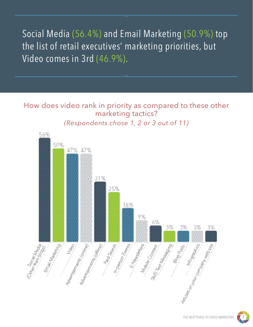Social Media (56.4%) and Email Marketing (50.9%) top the list of retail executives' marketing priorities, but Video comes in 3rd (46.9%).

How does video rank in priority as compared to these other marketing tactics?

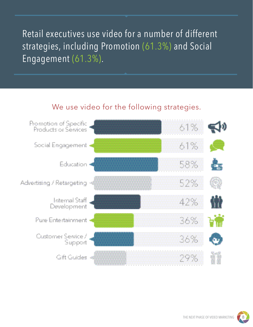Retail executives use video for a number of different strategies, including Promotion (61.3%) and Social Engagement (61.3%).

#### We use video for the following strategies.

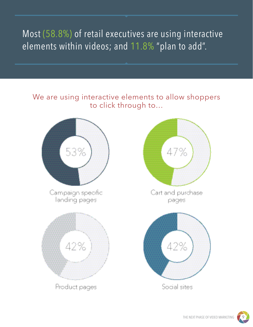# Most (58.8%) of retail executives are using interactive elements within videos; and 11.8% "plan to add".

#### We are using interactive elements to allow shoppers to click through to…

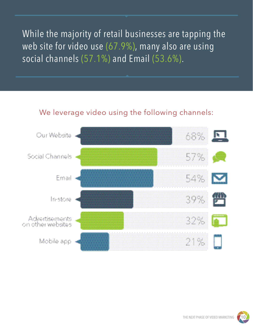While the majority of retail businesses are tapping the web site for video use (67.9%), many also are using social channels (57.1%) and Email (53.6%).

#### We leverage video using the following channels:

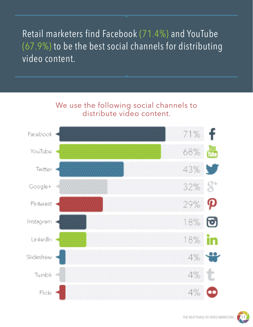Retail marketers find Facebook (71.4%) and YouTube (67.9%) to be the best social channels for distributing video content.

#### We use the following social channels to distribute video content.



THE NEXT PHASE OF VIDEO MARKETING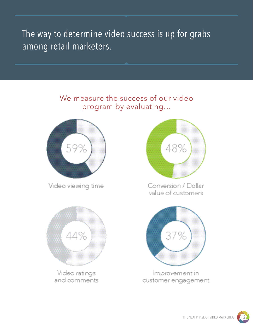The way to determine video success is up for grabs among retail marketers.

#### We measure the success of our video program by evaluating…



Video viewing time



and comments.



Conversion / Dollar value of customers



Improvement in customer engagement

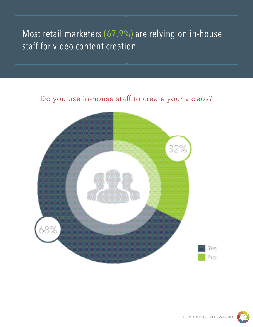# Most retail marketers (67.9%) are relying on in-house staff for video content creation.

#### Do you use in-house staff to create your videos?

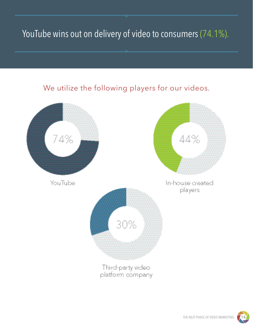# YouTube wins out on delivery of video to consumers (74.1%).

#### We utilize the following players for our videos.